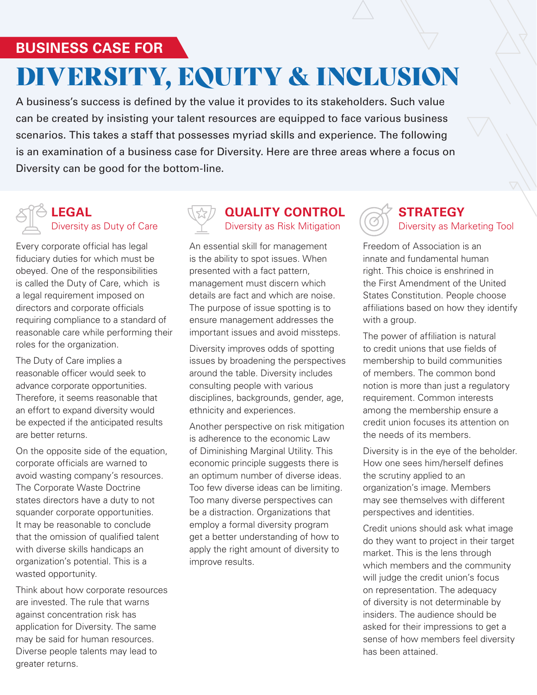### **BUSINESS CASE FOR**

# DIVERSITY, EQUITY & INCLUSION

A business's success is defined by the value it provides to its stakeholders. Such value can be created by insisting your talent resources are equipped to face various business scenarios. This takes a staff that possesses myriad skills and experience. The following is an examination of a business case for Diversity. Here are three areas where a focus on Diversity can be good for the bottom-line.

#### **LEGAL** Diversity as Duty of Care

Every corporate official has legal fiduciary duties for which must be obeyed. One of the responsibilities is called the Duty of Care, which is a legal requirement imposed on directors and corporate officials requiring compliance to a standard of reasonable care while performing their roles for the organization.

The Duty of Care implies a reasonable officer would seek to advance corporate opportunities. Therefore, it seems reasonable that an effort to expand diversity would be expected if the anticipated results are better returns.

On the opposite side of the equation, corporate officials are warned to avoid wasting company's resources. The Corporate Waste Doctrine states directors have a duty to not squander corporate opportunities. It may be reasonable to conclude that the omission of qualified talent with diverse skills handicaps an organization's potential. This is a wasted opportunity.

Think about how corporate resources are invested. The rule that warns against concentration risk has application for Diversity. The same may be said for human resources. Diverse people talents may lead to greater returns.



#### **QUALITY CONTROL** Diversity as Risk Mitigation

An essential skill for management is the ability to spot issues. When presented with a fact pattern, management must discern which details are fact and which are noise. The purpose of issue spotting is to ensure management addresses the important issues and avoid missteps.

Diversity improves odds of spotting issues by broadening the perspectives around the table. Diversity includes consulting people with various disciplines, backgrounds, gender, age, ethnicity and experiences.

Another perspective on risk mitigation is adherence to the economic Law of Diminishing Marginal Utility. This economic principle suggests there is an optimum number of diverse ideas. Too few diverse ideas can be limiting. Too many diverse perspectives can be a distraction. Organizations that employ a formal diversity program get a better understanding of how to apply the right amount of diversity to improve results.

### **STRATEGY** Diversity as Marketing Tool

Freedom of Association is an innate and fundamental human right. This choice is enshrined in the First Amendment of the United States Constitution. People choose affiliations based on how they identify with a group.

The power of affiliation is natural to credit unions that use fields of membership to build communities of members. The common bond notion is more than just a regulatory requirement. Common interests among the membership ensure a credit union focuses its attention on the needs of its members.

Diversity is in the eye of the beholder. How one sees him/herself defines the scrutiny applied to an organization's image. Members may see themselves with different perspectives and identities.

Credit unions should ask what image do they want to project in their target market. This is the lens through which members and the community will judge the credit union's focus on representation. The adequacy of diversity is not determinable by insiders. The audience should be asked for their impressions to get a sense of how members feel diversity has been attained.